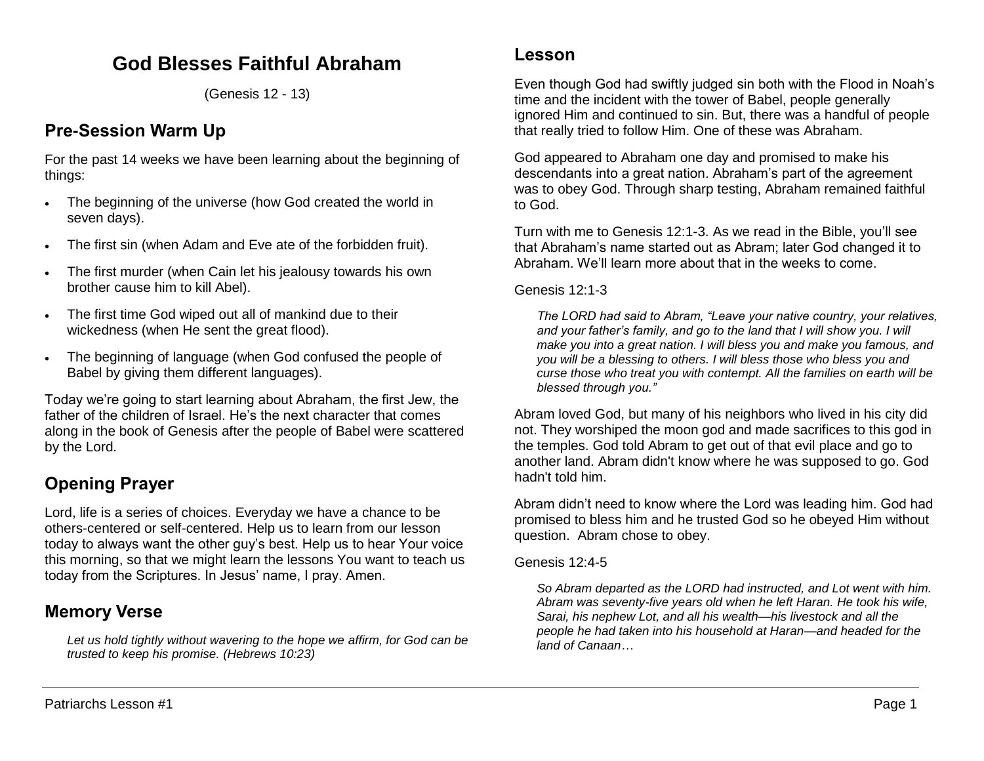## **God Blesses Faithful Abraham**

(Genesis 12 - 13)

## **Pre-Session Warm Up**

For the past 14 weeks we have been learning about the beginning of things:

- The beginning of the universe (how God created the world in seven days).
- The first sin (when Adam and Eve ate of the forbidden fruit).
- The first murder (when Cain let his jealousy towards his own brother cause him to kill Abel).
- The first time God wiped out all of mankind due to their wickedness (when He sent the great flood).
- The beginning of language (when God confused the people of Babel by giving them different languages).

Today we're going to start learning about Abraham, the first Jew, the father of the children of Israel. He's the next character that comes along in the book of Genesis after the people of Babel were scattered by the Lord.

# **Opening Prayer**

Lord, life is a series of choices. Everyday we have a chance to be others-centered or self-centered. Help us to learn from our lesson today to always want the other guy's best. Help us to hear Your voice this morning, so that we might learn the lessons You want to teach us today from the Scriptures. In Jesus' name, I pray. Amen.

## **Memory Verse**

*Let us hold tightly without wavering to the hope we affirm, for God can be trusted to keep his promise. (Hebrews 10:23)*

Even though God had swiftly judged sin both with the Flood in Noah's time and the incident with the tower of Babel, people generally ignored Him and continued to sin. But, there was a handful of people that really tried to follow Him. One of these was Abraham.

God appeared to Abraham one day and promised to make his descendants into a great nation. Abraham's part of the agreement was to obey God. Through sharp testing, Abraham remained faithful to God.

Turn with me to Genesis 12:1-3. As we read in the Bible, you'll see that Abraham's name started out as Abram; later God changed it to Abraham. We'll learn more about that in the weeks to come.

Genesis 12:1-3

*The LORD had said to Abram, "Leave your native country, your relatives, and your father's family, and go to the land that I will show you. I will make you into a great nation. I will bless you and make you famous, and you will be a blessing to others. I will bless those who bless you and curse those who treat you with contempt. All the families on earth will be blessed through you."* 

Abram loved God, but many of his neighbors who lived in his city did not. They worshiped the moon god and made sacrifices to this god in the temples. God told Abram to get out of that evil place and go to another land. Abram didn't know where he was supposed to go. God hadn't told him.

Abram didn't need to know where the Lord was leading him. God had promised to bless him and he trusted God so he obeyed Him without question. Abram chose to obey.

Genesis 12:4-5

*So Abram departed as the LORD had instructed, and Lot went with him. Abram was seventy-five years old when he left Haran. He took his wife, Sarai, his nephew Lot, and all his wealth—his livestock and all the people he had taken into his household at Haran—and headed for the land of Canaan…*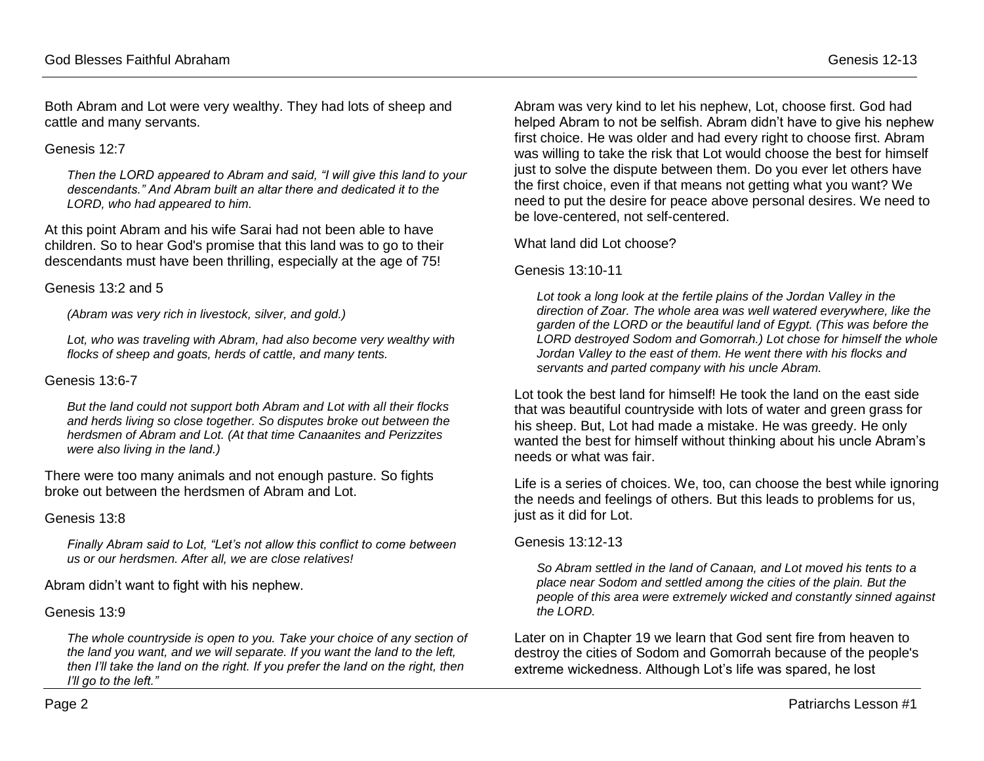Both Abram and Lot were very wealthy. They had lots of sheep and cattle and many servants.

#### Genesis 12:7

*Then the LORD appeared to Abram and said, "I will give this land to your descendants." And Abram built an altar there and dedicated it to the LORD, who had appeared to him.*

At this point Abram and his wife Sarai had not been able to have children. So to hear God's promise that this land was to go to their descendants must have been thrilling, especially at the age of 75!

Genesis 13:2 and 5

*(Abram was very rich in livestock, silver, and gold.)*

Lot, who was traveling with Abram, had also become very wealthy with *flocks of sheep and goats, herds of cattle, and many tents.*

#### Genesis 13:6-7

*But the land could not support both Abram and Lot with all their flocks and herds living so close together. So disputes broke out between the herdsmen of Abram and Lot. (At that time Canaanites and Perizzites were also living in the land.)*

There were too many animals and not enough pasture. So fights broke out between the herdsmen of Abram and Lot.

#### Genesis 13:8

*Finally Abram said to Lot, "Let's not allow this conflict to come between us or our herdsmen. After all, we are close relatives!*

Abram didn't want to fight with his nephew.

#### Genesis 13:9

*The whole countryside is open to you. Take your choice of any section of the land you want, and we will separate. If you want the land to the left, then I'll take the land on the right. If you prefer the land on the right, then I'll go to the left."*

Abram was very kind to let his nephew, Lot, choose first. God had helped Abram to not be selfish. Abram didn't have to give his nephew first choice. He was older and had every right to choose first. Abram was willing to take the risk that Lot would choose the best for himself just to solve the dispute between them. Do you ever let others have the first choice, even if that means not getting what you want? We need to put the desire for peace above personal desires. We need to be love-centered, not self-centered.

What land did Lot choose?

Genesis 13:10-11

Lot took a long look at the fertile plains of the Jordan Valley in the *direction of Zoar. The whole area was well watered everywhere, like the garden of the LORD or the beautiful land of Egypt. (This was before the LORD destroyed Sodom and Gomorrah.) Lot chose for himself the whole Jordan Valley to the east of them. He went there with his flocks and servants and parted company with his uncle Abram.* 

Lot took the best land for himself! He took the land on the east side that was beautiful countryside with lots of water and green grass for his sheep. But, Lot had made a mistake. He was greedy. He only wanted the best for himself without thinking about his uncle Abram's needs or what was fair.

Life is a series of choices. We, too, can choose the best while ignoring the needs and feelings of others. But this leads to problems for us, just as it did for Lot.

#### Genesis 13:12-13

*So Abram settled in the land of Canaan, and Lot moved his tents to a place near Sodom and settled among the cities of the plain. But the people of this area were extremely wicked and constantly sinned against the LORD.*

Later on in Chapter 19 we learn that God sent fire from heaven to destroy the cities of Sodom and Gomorrah because of the people's extreme wickedness. Although Lot's life was spared, he lost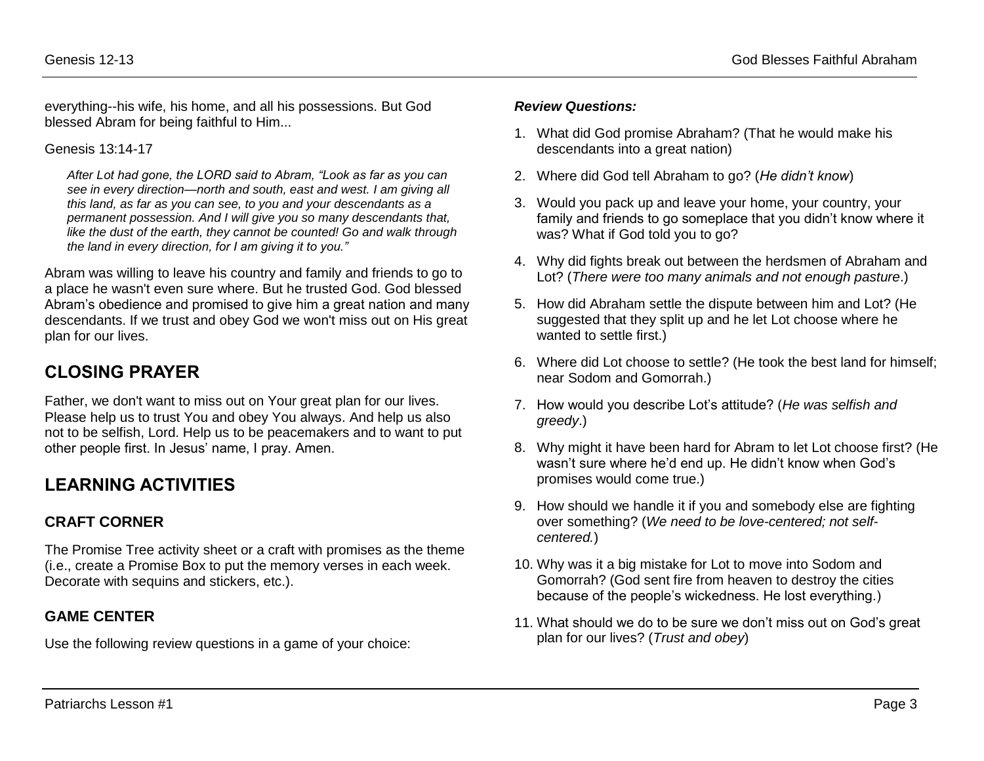everything--his wife, his home, and all his possessions. But God blessed Abram for being faithful to Him...

Genesis 13:14-17

*After Lot had gone, the LORD said to Abram, "Look as far as you can see in every direction—north and south, east and west. I am giving all this land, as far as you can see, to you and your descendants as a permanent possession. And I will give you so many descendants that, like the dust of the earth, they cannot be counted! Go and walk through the land in every direction, for I am giving it to you."*

Abram was willing to leave his country and family and friends to go to a place he wasn't even sure where. But he trusted God. God blessed Abram's obedience and promised to give him a great nation and many descendants. If we trust and obey God we won't miss out on His great plan for our lives.

## **CLOSING PRAYER**

Father, we don't want to miss out on Your great plan for our lives. Please help us to trust You and obey You always. And help us also not to be selfish, Lord. Help us to be peacemakers and to want to put other people first. In Jesus' name, I pray. Amen.

# **LEARNING ACTIVITIES**

## **CRAFT CORNER**

The Promise Tree activity sheet or a craft with promises as the theme (i.e., create a Promise Box to put the memory verses in each week. Decorate with sequins and stickers, etc.).

## **GAME CENTER**

Use the following review questions in a game of your choice:

#### *Review Questions:*

- 1. What did God promise Abraham? (That he would make his descendants into a great nation)
- 2. Where did God tell Abraham to go? (*He didn't know*)
- 3. Would you pack up and leave your home, your country, your family and friends to go someplace that you didn't know where it was? What if God told you to go?
- 4. Why did fights break out between the herdsmen of Abraham and Lot? (*There were too many animals and not enough pasture*.)
- 5. How did Abraham settle the dispute between him and Lot? (He suggested that they split up and he let Lot choose where he wanted to settle first.)
- 6. Where did Lot choose to settle? (He took the best land for himself; near Sodom and Gomorrah.)
- 7. How would you describe Lot's attitude? (*He was selfish and greedy*.)
- 8. Why might it have been hard for Abram to let Lot choose first? (He wasn't sure where he'd end up. He didn't know when God's promises would come true.)
- 9. How should we handle it if you and somebody else are fighting over something? (*We need to be love-centered; not selfcentered.*)
- 10. Why was it a big mistake for Lot to move into Sodom and Gomorrah? (God sent fire from heaven to destroy the cities because of the people's wickedness. He lost everything.)
- 11. What should we do to be sure we don't miss out on God's great plan for our lives? (*Trust and obey*)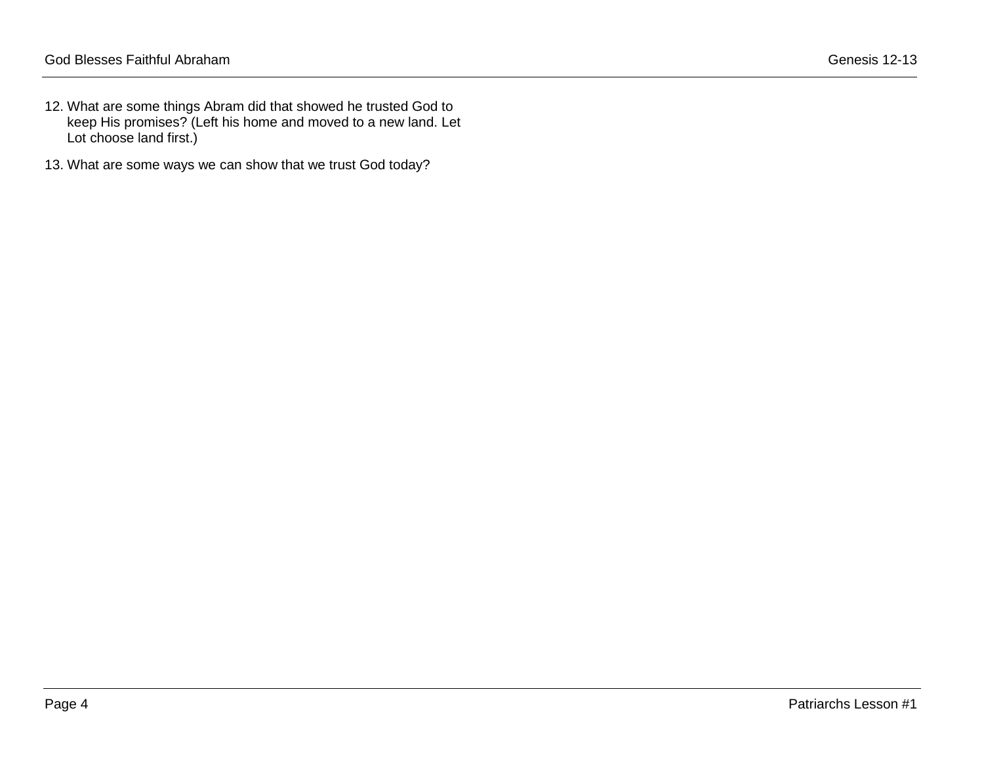- 12. What are some things Abram did that showed he trusted God to keep His promises? (Left his home and moved to a new land. Let Lot choose land first.)
- 13. What are some ways we can show that we trust God today?